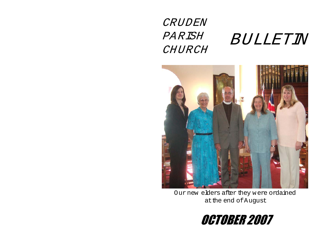## CRUDEN PAR ISH BULLETIN CHURCH



Our new elders after they were ordained at the end of August

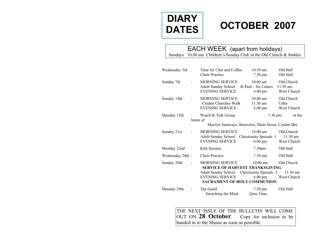# **DIARY DATES**

## **OCTOBER 2007**

### EACH WEEK (apart from holidays)

Sundays 10.00 am Children's Sunday Club in the Old Church & Stables

| Wednesday 3rd   | $\cdot$        | Time for Chat and Coffee<br><b>Choir Practice</b>                       | $10.30$ am<br>7.30 pm                                                             | Old Hall<br>Old Hall                  |
|-----------------|----------------|-------------------------------------------------------------------------|-----------------------------------------------------------------------------------|---------------------------------------|
| Sunday 7th      | $\ddot{\cdot}$ | MORNING SERVICE<br><b>Adult Sunday School</b><br><b>EVENING SERVICE</b> | $10.00$ am<br>St Paul – his Letters<br>$6.00 \text{ pm}$                          | Old Church<br>11.30 am<br>West Church |
| Sunday 14th     | $\ddot{\cdot}$ | MORNING SERVICE<br>Cruden Churches Walk<br><b>EVENING SERVICE</b>       | $10.00$ am<br>11.30 am<br>$6.00 \text{ pm}$                                       | Old Church<br>Udny<br>West Church     |
| Monday 15th     | home of        | Watch & Talk Group                                                      | 7.30 pm                                                                           | at the                                |
|                 |                |                                                                         | Marilyn Samways, Burnview, Main Street, Cruden Bay                                |                                       |
| Sunday 21st     | ÷              | <b>MORNING SERVICE</b><br>Adult Sunday School<br><b>EVENING SERVICE</b> | $10.00$ am<br>Christianity Spreads 1<br>$6.00 \text{ pm}$                         | Old Church<br>11.30 am<br>West Church |
| Monday 22nd     | $\ddot{\cdot}$ | Kirk Session                                                            | 7.30 <sub>pm</sub>                                                                | Old Hall                              |
| Wednesday 24th: |                | <b>Choir Practice</b>                                                   | $7.30 \text{ pm}$                                                                 | Old Hall                              |
| Sunday 28th     |                | <b>MORNING SERVICE</b>                                                  | $10.00$ am<br><b>SERVICE OF HARVEST THANKSGIVING</b>                              | Old Church                            |
|                 |                | <b>Adult Sunday School</b><br><b>EVENING SERVICE</b>                    | Christianity Spreads 2<br>$6.00 \text{ pm}$<br><b>SACRAMENT OF HOLY COMMUNION</b> | $11.30$ am<br>West Church             |
| Monday 29th     |                | The Guild<br>Stretching the Mind                                        | $7.30 \text{ pm}$<br><b>Ouiz Time</b>                                             | Old Hall                              |

THE NEXT ISSUE OF THE BULLETIN WILL COME OUT ON **28 October**. Copy for inclusion to be handed in to the Manse as soon as possible.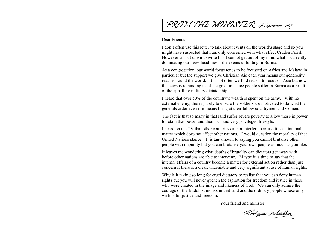## FROM THE MINISTER 28 September 2007

#### Dear Friends

I don't often use this letter to talk about events on the world's stage and so you might have suspected that I am only concerned with what affect Cruden Parish. However as I sit down to write this I cannot get out of m y mind what is currently dominating our news headlines – the events unfolding in Burma.

As a congregation, our world focus tends to be focussed on Africa and Malawi in particular but the support we give Christian Aid each year means our generosity reaches round the world. It is not often we find reason to focus on Asia but now the news is reminding us of the great injustice people suffer in Burma as a result of the appalling military dictatorship.

I heard that over 50% of the country's wealth is spent on the arm y. With no external enem y, this is purely to ensure the soldiers are m otivated to do what the generals order even if it means firing at their fellow country men and women.

The fact is that so many in that land suffer severe poverty to allow those in power to retain that power and their rich and very privileged lifestyle.

I heard on the TV that other countries cannot interfere because it is an internal matter which does not affect other nations. I would question the m orality of that United Nations stance. It is tantamount to saying you cannot brutalise other people with impunity but you can brutalise your own people as much as you like.

It leaves me wondering what depths of brutality can dictators get away with before other nations are able to intervene. May be it is time to say that the internal affairs of a country become a matter for external action rather than just concern if there is a clear, undeniable and very significant abuse of human rights.

Why is it taking so long for cruel dictators to realise that you can deny human rights but you will never quench the aspiration for freedom and justice in those who were created in the image and likeness of God. We can only admire the courage of the Buddhist monks in that land and the ordinary people whose only wish is for justice and freedom.

Your friend and minister

Rodges Nailson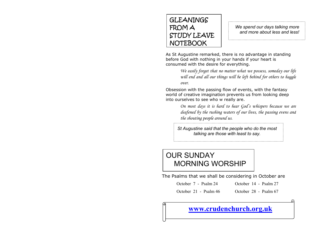### GLEANINGS FROM A STUDY LEAVE NOTEBOOK

*We spend our days talking more and more about less and less!* 

As St Augustine remarked, there is no advantage in standing before God with nothing in your hands if your heart is consumed with the desire for everything.

> *We easily forget that no matter what we possess, someday our life will end and all our things will be left behind for others to haggle over.*

Obsession with the passing flow of events, with the fantasy world of creative imagination prevents us from looking deep into ourselves to see who w really are.

> *On most days it is hard to hear God's whispers because we are deafened by the rushing waters of our lives, the passing evens and the shouting people around us.*

*St Augustine said that the people who do the most talking are those with least to say.* 

### OUR SUNDAY MORNING WORSHIP

The Psalms that we shall be considering in October are

October 7 - Psalm 24 October 14 - Psalm 27

October 21 - Psalm 46 October 28 - Psalm 67

## **[www.crudenchurch.org.uk](http://www.crudenchurch.org.uk/)**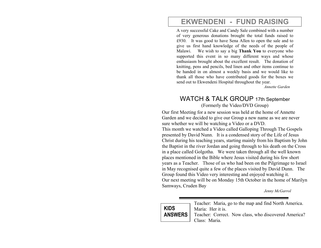### **EKWENDENI - FUND RAISING**

A very successful Cake and Candy Sale combined with a number of very generous donations brought the total funds raised to £930. It was good to have Sena Allen to open the sale and to give us first hand knowledge of the needs of the people of Malawi. We wish to say a big **Thank You** to everyone who supported this event in so many different ways and whose enthusiasm brought about the excellent result. The donation of knitting, pens and pencils, bed linen and other items continue to be handed in on almost a weekly basis and we would like to thank all those who have contributed goods for the boxes we send out to Ekwendeni Hospital throughout the year.

*Annette Garden* 

### WATCH & TALK GROUP 17th September (Form erly the Video/DVD Group)

Our first Meeting for a new session was held at the home of Annette Garden and we decided to give our Group a new nam e as we are never sure whether we will be watching a Video or a DVD. This month we watched a Video called Galloping Through The Gospels presented by David Nunn. It is a condensed story of the Life of Jesus Christ during his teaching years, starting m ainly from his Baptism by John the Baptist in the river Jordan and going through to his death on the Cross in a place called Golgotha. W e were taken through all the well known places m entioned in the Bible where Jesus visited during his few short years as a Teacher. Those of us who had been on the Pilgrim age to Israel in May recognised quite a few of the places visited by David Dunn. The Group found this Video very interesting and enjoyed watching it. Our next meeting will be on Monday 15th October in the home of Marilyn Samways, Cruden Bay

*Jenny McGarrol* 

| KIDS           |  |
|----------------|--|
| <b>ANSWERS</b> |  |

Teacher: Maria, go to the m ap and find North America. Maria: Her it is. Teacher: Correct. Now class, who discovered America? Class: Maria.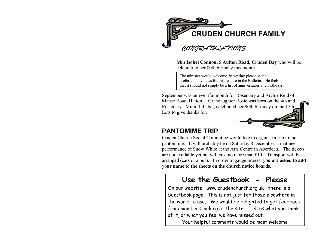

**Mrs Isobel Connon, 5 Aulton Road, Cruden Bay** who will be celebrating her 80th birthday this month.

The minister would welcome, i n writing please, e-mail preferred, any news for this feature in the Bulletin. He feels that it should not si mply be a list of anniversaries and birthdays.

September was an eventful month for Rosem ary and Archie Reid of Manse Road, Hatton. Grandaughter Rosie was born on the 4th and Rosemary's Mum, Lillabet, celebrated her 90th birthday on the 17th. Lots to give thanks for.

### **PANTOMIME TRIP**

Cruden Church Social Com mittee would like to organise a trip to the pantomime. It will probably be on Saturday 8 December, a m atinee perform ance of Snow White at the Arts Centre in Aberdeen. The tickets are not available yet but will cost no m ore than £10. Transport will be arranged (cars or a bus). In order to gauge interest **you are asked to add your name to the sheets on the church notice boards**.

### **Use the Guestbook - Please**

[On our website www.crudenchurch.org.uk there is a](http://www.crudenchurch.org.uk/)  Guestbook page. This is not just for those elsewhere in the world to use. We would be delighted to get feedback from members looking at the site. Tell us what you think of it, or what you feel we have missed out.

Your helpful comments would be most welcome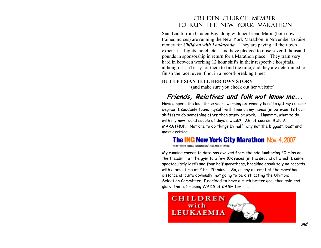### Cruden Church Member to run the New York marathon

Sian Lamb from Cruden Bay along with her friend Marie (both now trained nurses) are running the New York Marathon in November to raise money for *Children with Leukaemia*. They are paying all their own expenses - flights, hotel, etc. - and have pledged to raise several thousand pounds in sponsorship in return for a Marathon place. They train very hard in between working 12 hour shifts in their respective hospitals, although it isn't easy for them to find the time, and they are determined to finish the race, even if not in a record-breaking time!

#### **BUT LET SIAN TELL HER OWN STORY**

(and m ake sure you check out her website)

## **Friends, Relatives and folk wot know me...**

Having spent the last three years working extremely hard to g et my nursing degree, I suddenly found myself with time on my hands (in between 12 hour shifts) to do something other than study or work. Hmmmm, what to do with my new found couple of days a week? Ah, of course, RUN A MARATHON! Not one to do things by half, why not the biggest, best and most e xciting……..

### **The ING New York City Marathon Nov. 4, 2007**

NEW YORK ROAD RUNNERS' PREMIER EVENT

My running career to date has evolved from the odd lumbering 20 mins on the treadmill at the gym to a few 10k races (in the second of which I came spectacularly last!) and four half marathons, breaking absolutely no records with a best time of 2 hrs 20 mins. So, as any attempt at the marathon distance is, quite obviously, not going to be distracting the Olympic Selection Committee, I decided to have a much better goal than gold and glory, that of raising WADS of CASH for………

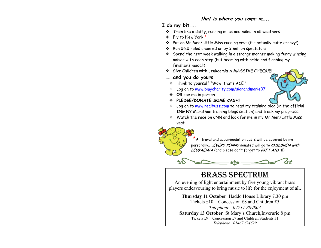#### **that is where you come in…..**

#### **I do my bit…..**

- $\boldsymbol{\hat{v}}$  Train like a dafty, running miles and miles in all weathers
- Fly to New York \*
- Put on Mr Men/Little Miss running vest (it's actually quite groovy!)
- Run 26.2 miles cheered on by 2 million spectators
- $\cdot$  Spend the next week walking in a strange manner making funny wincing noises with each step (but beaming with pride and flashing my finisher's medal!)
- Give Children with Leukaemia A MASSIVE CHEQUE!

#### **…..and you do yours**

- Think to yourself "Wow, that's ACE!"
- Log on to [www.bmycharity.com/sianandmarie07](http://www.bmycharity.com/sianandmarie07)
- **OR** see me in person
- **PLEDGE/DONATE SOME CASH!**



- ❖ Log on to [www.realbuzz.com](http://www.realbuzz.com/en-gb/Running_training/index?pageID=1997&blog=3954) to read my training blog (in the official ING NY Marathon training blogs section) and track my progress.
- Watch the race on CNN and look for me in my Mr Men/Little Miss vest



 \*All travel and accommodation costs will be covered by me personally……**EVERY PENNY** donated will go to **CHILDREN with LEUKAEMIA** (and please don't forget to **GIFT AID** it!)



## BRASS SPECTRUM

An evening of light entertainment by five young vibrant brass players endeavouring to bring music to life for the enjoyment of all.

**Thursday 11 October** Haddo House Library 7.30 pm Tickets £10 Concession £8 and Children £5 *Telephone 07711 809803*  **Saturday 13 October** St Mary's Church,Inverurie 8 pm Tickets £9 Concession £7 and Children/Students £1 *Telephone 01467 624629*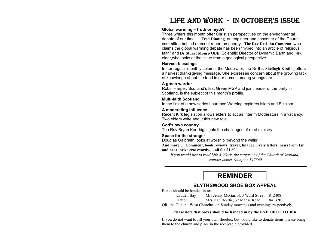### LIFE AND WORK - IN OCTOBER'S ISSUE

#### **Global w arming – truth or myth?**

Three writers this month offer Christian perspectives on the environmental debate of our time. **Fred Dinning**, an engineer and convener of the Church committee behind a recent report on energy; **The Rev Dr John Cameron**, who claims the global warming debate has been "hyped into an article of religious faith" and **Dr Stuart Monro OBE**, Scientific Director of Dynamic Earth and Kirk elder,who looks at the issue from a geological perspective.

#### **Harvest blessings**

In her regular monthly column, the Moderator, the **Rt Rev Sheilagh Kesti ng** offers a harvest thanksgiving message. She expresses concern about the growing lack of knowledge about the food in our homes among youngsters.

#### **A green w arrior**

Robin Harper, Scotland's first Green MSP and joint leader of the party in Scotland, is the subject of this month's profile.

#### **Multi-faith Scotland**

In the first of a new series Laurence Wareing explores Islam and Sikhism.

#### **A moderating influence**

Recent Kirk legislation allows elders to act as Interim Moderators in a vacancy. Two elders write about this new role.

#### **God's own country**

The Rev Bryan Kerr highlights the challenges of rural ministry.

#### **Space for the stranger**

Douglas Galbraith looks at worship 'beyond the walls'

**And more…. Comment, book reviews, travel, finance, lively letters, news from far and near, prize crosswords…. all for £1.60!**

*If you would like to read Life & Work, the magazine of the Church of Scotland, contact Isobel Young on 812360* 

### **REMINDER**

#### **BLYTHSWOOD SHOE BOX APPEAL**

Boxes should be handed in to:

Cruden Bay Mrs Jenny McGarrol, 3 Ward Street (812408)

Hatton Mrs Jean Beedie, 37 Manse Road (841370)

OR t he Old and West Churches on Sunday mornings and evenings respectivel y.

#### **Please note that boxes should be handed in by the END OF OCTOBER**

If you do not want to fill your own shoebox but would like to donate items, please bring them to the church and place in the receptacle provided.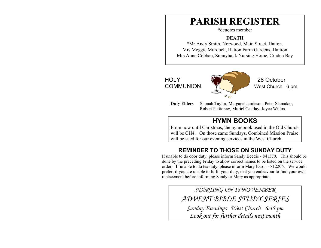## **PARISH REGISTER**

\*denotes member

#### **DEATH**

\*Mr Andy Smith, Norwood, Main Street, Hatton. Mrs Meggie Murdoch, Hatton Farm Gardens, Hattton Mrs Anne Cobban, Sunnybank Nursing Hom e, Cruden Bay

HOLY 28 October COMMUNION **West Church** 6 pm

**Duty Elders** Shonah Taylor, Margaret Jamieson, Peter Slamaker, Robert Petticrew, Muriel Cantlay, Joyce Willox

### **HYMN BOOKS**

 $00$ 

From now until Christm as, the hymnbook used in the Old Church will be CH4. On those sam e Sundays, Combined Mission Praise will be used for our evening services in the W est Church.

### **REMINDER TO THOSE ON SUNDAY DUTY**

If unable to do door duty, please inform Sandy Beedie - 841370. This should be done by the preceding Friday to allow correct names to be listed on the service order. If unable to do tea duty, please inform Mary Esson - 812206. We would prefer, if you are unable to fulfil your dut y, that you endeavour to find your own replacement before informing Sandy or Mary as appropriate.

> *STARTING ON 18 NOVEMBER ADVENT BIBLE STUDY SERIES*

*Sunday Evenings West Church 6.45 pm Look out for further details next month*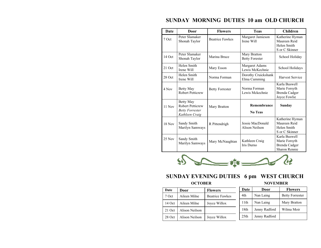| Date     | Door                                                                             | <b>Flowers</b>         | <b>Teas</b>                           | <b>Children</b>                                                  |
|----------|----------------------------------------------------------------------------------|------------------------|---------------------------------------|------------------------------------------------------------------|
| 7 Oct    | Peter Slamaker<br>Shonah Taylor                                                  | <b>Beatrice Fawkes</b> | Margaret Jamieson<br>Irene Will       | Katherine Hyman<br>Maureen Reid<br>Helen Smith<br>S or C Skinner |
| $14$ Oct | Peter Slamaker<br>Shonah Taylor                                                  | Marina Bruce           | Mary Bratton<br><b>Betty Forester</b> | School Holiday                                                   |
| 21 Oct   | Helen Smith<br>Irene Will                                                        | Mary Esson             | Margaret Adams<br>Lewis McKechnie     | School Holidays                                                  |
| 28 Oct   | Helen Smith<br>Irene Will                                                        | Norma Forman           | Dorothy Cruickshank<br>Elma Cumming   | <b>Harvest Service</b>                                           |
| 4 Nov    | Betty May<br><b>Robert Petticrew</b>                                             | <b>Betty Forrester</b> | Norma Forman<br>Lewis Mckechnie       | Karla Buswell<br>Marie Forsyth<br>Brenda Cadger<br>Joyce Fowlie  |
| 11 Nov   | Betty May<br><b>Robert Petticrew</b><br><b>Betty Forrester</b><br>Kathleen Craig | Mary Bratton           | Remembrance<br>No Teas                | Sunday                                                           |
| $18$ Nov | Sandy Smith<br>Marilyn Samways                                                   | R Pittendrigh          | Jessie MacDonald<br>Alison Neilson    | Katherine Hyman<br>Maureen Reid<br>Helen Smith<br>S or C Skinner |
| 25 Nov   | Sandy Smith<br>Marilyn Samways                                                   | Mary McNaughtan        | Kathleen Craig<br>Iris Durno          | Karla Buswell<br>Marie Forsyth<br>Brenda Cadger<br>Sharon Rennie |

#### **SUNDAY MORNING DUTIES 10 am OLD CHURCH**



### **SUNDAY EVENING DUTIES 6 pm WEST CHURCH**

#### **OCTOBER NOVEMBER**

| Date   | Door           | <b>Flowers</b>         |
|--------|----------------|------------------------|
| 7 Oct  | Aileen Milne   | <b>Beatrice Fawkes</b> |
| 14 Oct | Aileen Milne   | Joyce Willox           |
| 21 Oct | Alison Neilson |                        |
| 28 Oct | Alison Neilson | Joyce Willox           |

| Date             | Door          | <b>Flowers</b>         |
|------------------|---------------|------------------------|
| 4th              | Nan Laing     | <b>Betty Forrester</b> |
| 11th             | Nan Laing     | Mary Bratton           |
| 18th             | Jenny Radford | Wilma Moir             |
| 25 <sub>th</sub> | Jenny Radford |                        |